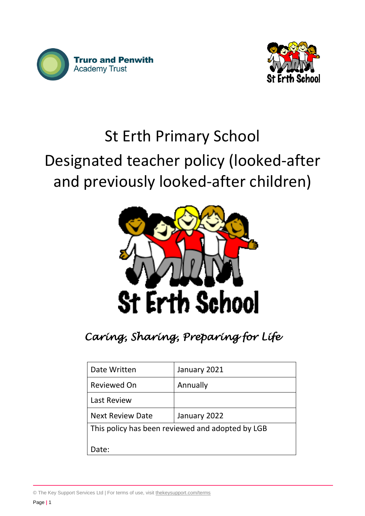



# St Erth Primary School Designated teacher policy (looked-after and previously looked-after children)



# *Caring, Sharing, Preparing for Life*

| Date Written                                     | January 2021 |
|--------------------------------------------------|--------------|
| <b>Reviewed On</b>                               | Annually     |
| <b>Last Review</b>                               |              |
| <b>Next Review Date</b>                          | January 2022 |
| This policy has been reviewed and adopted by LGB |              |
| Date:                                            |              |

© The Key Support Services Ltd | For terms of use, visit [thekeysupport.com/terms](https://thekeysupport.com/terms-of-use)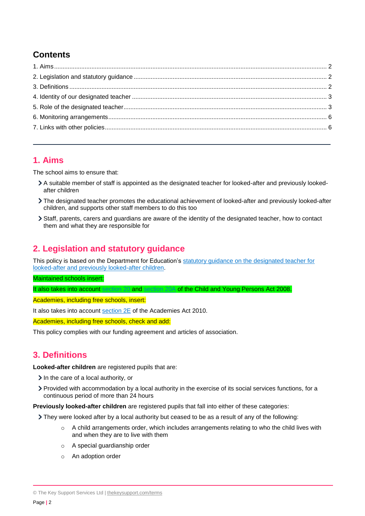# **Contents**

#### <span id="page-1-0"></span>**1. Aims**

The school aims to ensure that:

- A suitable member of staff is appointed as the designated teacher for looked-after and previously lookedafter children
- The designated teacher promotes the educational achievement of looked-after and previously looked-after children, and supports other staff members to do this too
- Staff, parents, carers and guardians are aware of the identity of the designated teacher, how to contact them and what they are responsible for

# <span id="page-1-1"></span>**2. Legislation and statutory guidance**

This policy is based on the Department for Education's [statutory guidance on the designated teacher for](https://www.gov.uk/government/publications/designated-teacher-for-looked-after-children)  [looked-after and previously looked-after children.](https://www.gov.uk/government/publications/designated-teacher-for-looked-after-children)

Maintained schools insert:

It also takes into account [section 20](http://www.legislation.gov.uk/ukpga/2008/23/section/20) and [section 20A](http://www.legislation.gov.uk/ukpga/2008/23/section/20A) of the Child and Young Persons Act 2008.

Academies, including free schools, insert:

It also takes into account [section 2E](http://www.legislation.gov.uk/ukpga/2010/32/section/2E) of the Academies Act 2010.

Academies, including free schools, check and add:

This policy complies with our funding agreement and articles of association.

### <span id="page-1-2"></span>**3. Definitions**

**Looked-after children** are registered pupils that are:

- $\geq$  In the care of a local authority, or
- Provided with accommodation by a local authority in the exercise of its social services functions, for a continuous period of more than 24 hours

**Previously looked-after children** are registered pupils that fall into either of these categories:

They were looked after by a local authority but ceased to be as a result of any of the following:

- $\circ$  A child arrangements order, which includes arrangements relating to who the child lives with and when they are to live with them
- o A special guardianship order
- o An adoption order

© The Key Support Services Ltd | [thekeysupport.com/terms](https://thekeysupport.com/terms-of-use)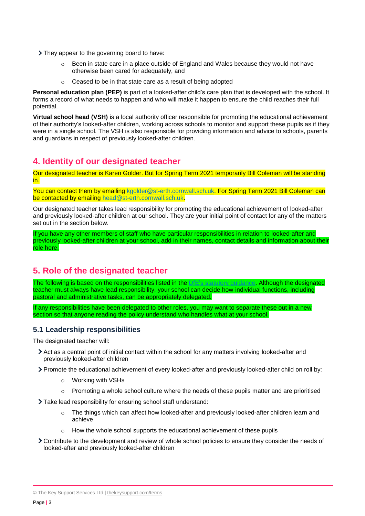- They appear to the governing board to have:
	- $\circ$  Been in state care in a place outside of England and Wales because they would not have otherwise been cared for adequately, and
	- o Ceased to be in that state care as a result of being adopted

**Personal education plan (PEP)** is part of a looked-after child's care plan that is developed with the school. It forms a record of what needs to happen and who will make it happen to ensure the child reaches their full potential.

**Virtual school head (VSH)** is a local authority officer responsible for promoting the educational achievement of their authority's looked-after children, working across schools to monitor and support these pupils as if they were in a single school. The VSH is also responsible for providing information and advice to schools, parents and guardians in respect of previously looked-after children.

## <span id="page-2-0"></span>**4. Identity of our designated teacher**

Our designated teacher is Karen Golder. But for Spring Term 2021 temporarily Bill Coleman will be standing in.

You can contact them by emailing [kgolder@st-erth.cornwall.sch.uk.](mailto:kgolder@st-erth.cornwall.sch.uk) For Spring Term 2021 Bill Coleman can be contacted by emailing [head@st-erth.cornwall.sch.uk.](mailto:head@st-erth.cornwall.sch.uk)

Our designated teacher takes lead responsibility for promoting the educational achievement of looked-after and previously looked-after children at our school. They are your initial point of contact for any of the matters set out in the section below.

If you have any other members of staff who have particular responsibilities in relation to looked-after and previously looked-after children at your school, add in their names, contact details and information about their role here.

### <span id="page-2-1"></span>**5. Role of the designated teacher**

The following is based on the responsibilities listed in the [DfE's statutory](https://www.gov.uk/government/publications/designated-teacher-for-looked-after-children) guidance. Although the designated teacher must always have lead responsibility, your school can decide how individual functions, including pastoral and administrative tasks, can be appropriately delegated.

If any responsibilities have been delegated to other roles, you may want to separate these out in a new section so that anyone reading the policy understand who handles what at your school.

#### **5.1 Leadership responsibilities**

The designated teacher will:

- Act as a central point of initial contact within the school for any matters involving looked-after and previously looked-after children
- Promote the educational achievement of every looked-after and previously looked-after child on roll by:
	- o Working with VSHs
	- $\circ$  Promoting a whole school culture where the needs of these pupils matter and are prioritised

Take lead responsibility for ensuring school staff understand:

- $\circ$  The things which can affect how looked-after and previously looked-after children learn and achieve
- $\circ$  How the whole school supports the educational achievement of these pupils
- Contribute to the development and review of whole school policies to ensure they consider the needs of looked-after and previously looked-after children

<sup>©</sup> The Key Support Services Ltd | [thekeysupport.com/terms](https://thekeysupport.com/terms-of-use)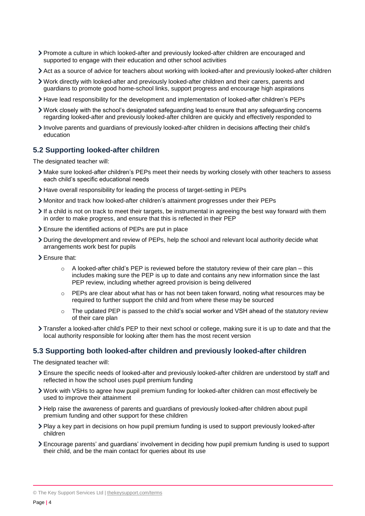- Promote a culture in which looked-after and previously looked-after children are encouraged and supported to engage with their education and other school activities
- Act as a source of advice for teachers about working with looked-after and previously looked-after children
- Work directly with looked-after and previously looked-after children and their carers, parents and guardians to promote good home-school links, support progress and encourage high aspirations
- Have lead responsibility for the development and implementation of looked-after children's PEPs
- Work closely with the school's designated safeguarding lead to ensure that any safeguarding concerns regarding looked-after and previously looked-after children are quickly and effectively responded to
- Involve parents and guardians of previously looked-after children in decisions affecting their child's education

#### **5.2 Supporting looked-after children**

The designated teacher will:

- Make sure looked-after children's PEPs meet their needs by working closely with other teachers to assess each child's specific educational needs
- Have overall responsibility for leading the process of target-setting in PEPs
- Monitor and track how looked-after children's attainment progresses under their PEPs
- If a child is not on track to meet their targets, be instrumental in agreeing the best way forward with them in order to make progress, and ensure that this is reflected in their PEP
- Ensure the identified actions of PEPs are put in place
- During the development and review of PEPs, help the school and relevant local authority decide what arrangements work best for pupils
- Ensure that:
	- $\circ$  A looked-after child's PEP is reviewed before the statutory review of their care plan this includes making sure the PEP is up to date and contains any new information since the last PEP review, including whether agreed provision is being delivered
	- $\circ$  PEPs are clear about what has or has not been taken forward, noting what resources may be required to further support the child and from where these may be sourced
	- $\circ$  The updated PEP is passed to the child's social worker and VSH ahead of the statutory review of their care plan
- Transfer a looked-after child's PEP to their next school or college, making sure it is up to date and that the local authority responsible for looking after them has the most recent version

#### **5.3 Supporting both looked-after children and previously looked-after children**

The designated teacher will:

- Ensure the specific needs of looked-after and previously looked-after children are understood by staff and reflected in how the school uses pupil premium funding
- Work with VSHs to agree how pupil premium funding for looked-after children can most effectively be used to improve their attainment
- Help raise the awareness of parents and guardians of previously looked-after children about pupil premium funding and other support for these children
- Play a key part in decisions on how pupil premium funding is used to support previously looked-after children
- Encourage parents' and guardians' involvement in deciding how pupil premium funding is used to support their child, and be the main contact for queries about its use

© The Key Support Services Ltd | [thekeysupport.com/terms](https://thekeysupport.com/terms-of-use)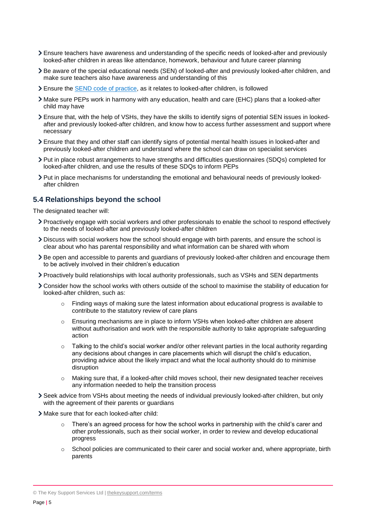- Ensure teachers have awareness and understanding of the specific needs of looked-after and previously looked-after children in areas like attendance, homework, behaviour and future career planning
- Be aware of the special educational needs (SEN) of looked-after and previously looked-after children, and make sure teachers also have awareness and understanding of this
- Ensure the [SEND code of practice,](https://www.gov.uk/government/publications/send-code-of-practice-0-to-25) as it relates to looked-after children, is followed
- Make sure PEPs work in harmony with any education, health and care (EHC) plans that a looked-after child may have
- Ensure that, with the help of VSHs, they have the skills to identify signs of potential SEN issues in lookedafter and previously looked-after children, and know how to access further assessment and support where necessary
- Ensure that they and other staff can identify signs of potential mental health issues in looked-after and previously looked-after children and understand where the school can draw on specialist services
- Put in place robust arrangements to have strengths and difficulties questionnaires (SDQs) completed for looked-after children, and use the results of these SDQs to inform PEPs
- Put in place mechanisms for understanding the emotional and behavioural needs of previously lookedafter children

#### **5.4 Relationships beyond the school**

The designated teacher will:

- Proactively engage with social workers and other professionals to enable the school to respond effectively to the needs of looked-after and previously looked-after children
- Discuss with social workers how the school should engage with birth parents, and ensure the school is clear about who has parental responsibility and what information can be shared with whom
- Be open and accessible to parents and guardians of previously looked-after children and encourage them to be actively involved in their children's education
- Proactively build relationships with local authority professionals, such as VSHs and SEN departments
- Consider how the school works with others outside of the school to maximise the stability of education for looked-after children, such as:
	- $\circ$  Finding ways of making sure the latest information about educational progress is available to contribute to the statutory review of care plans
	- o Ensuring mechanisms are in place to inform VSHs when looked-after children are absent without authorisation and work with the responsible authority to take appropriate safeguarding action
	- $\circ$  Talking to the child's social worker and/or other relevant parties in the local authority regarding any decisions about changes in care placements which will disrupt the child's education, providing advice about the likely impact and what the local authority should do to minimise disruption
	- o Making sure that, if a looked-after child moves school, their new designated teacher receives any information needed to help the transition process
- Seek advice from VSHs about meeting the needs of individual previously looked-after children, but only with the agreement of their parents or guardians
- Make sure that for each looked-after child:
	- There's an agreed process for how the school works in partnership with the child's carer and other professionals, such as their social worker, in order to review and develop educational progress
	- $\circ$  School policies are communicated to their carer and social worker and, where appropriate, birth parents

© The Key Support Services Ltd | [thekeysupport.com/terms](https://thekeysupport.com/terms-of-use)